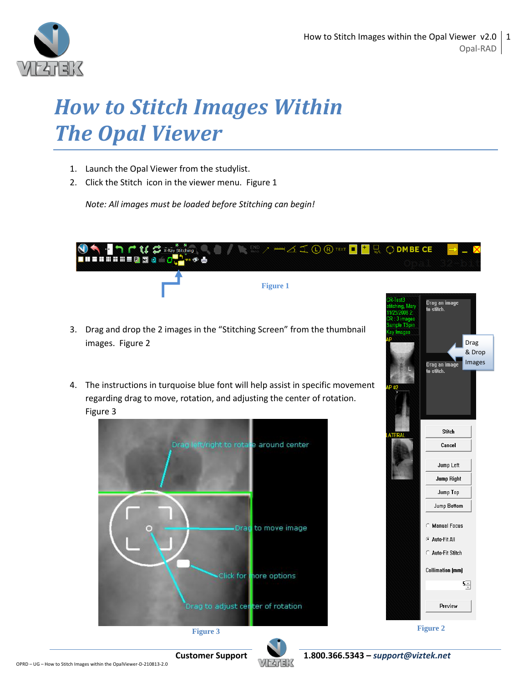

## *How to Stitch Images Within The Opal Viewer*

- 1. Launch the Opal Viewer from the studylist.
- 2. Click the Stitch icon in the viewer menu. Figure 1

*Note: All images must be loaded before Stitching can begin!*